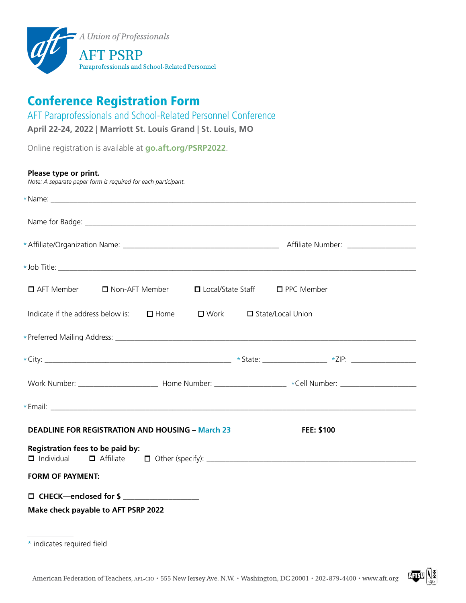

# Conference Registration Form

AFT Paraprofessionals and School-Related Personnel Conference

**April 22-24, 2022 | Marriott St. Louis Grand | St. Louis, MO**

Online registration is available at **[go.aft.org/PSRP202](http://go.aft.org/PSRP2022)2**.

| Please type or print.<br>Note: A separate paper form is required for each participant.                               |                                            |
|----------------------------------------------------------------------------------------------------------------------|--------------------------------------------|
|                                                                                                                      |                                            |
|                                                                                                                      |                                            |
|                                                                                                                      |                                            |
|                                                                                                                      |                                            |
| $\Box$ AFT Member<br>$\Box$ Non-AFT Member                                                                           | $\Box$ Local/State Staff $\Box$ PPC Member |
| Indicate if the address below is: $\Box$ Home                                                                        | □ Work □ State/Local Union                 |
|                                                                                                                      |                                            |
|                                                                                                                      |                                            |
| Work Number: _________________________________Home Number: ______________________ *Cell Number: ____________________ |                                            |
|                                                                                                                      |                                            |
| <b>DEADLINE FOR REGISTRATION AND HOUSING - March 23</b>                                                              | <b>FEE: \$100</b>                          |
| Registration fees to be paid by:                                                                                     |                                            |
| <b>FORM OF PAYMENT:</b>                                                                                              |                                            |
| □ CHECK—enclosed for \$<br>Make check payable to AFT PSRP 2022                                                       |                                            |



<sup>\*</sup> indicates required field